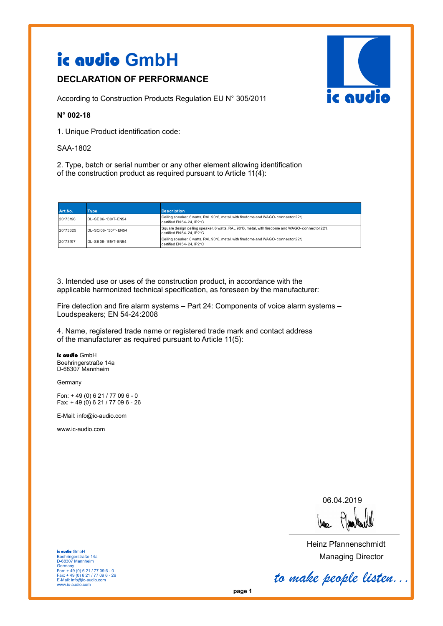# ic audio **GmbH**

# **DECLARATION OF PERFORMANCE**

According to Construction Products Regulation EU N° 305/2011

### **N° 002-18**

1. Unique Product identification code:

#### SAA-1802

2. Type, batch or serial number or any other element allowing identification of the construction product as required pursuant to Article 11(4):

| Art.No.  | Tvpe                | <b>Description</b>                                                                                                          |  |
|----------|---------------------|-----------------------------------------------------------------------------------------------------------------------------|--|
| 20173196 | DL-SE06-130/T-FN54  | Ceiling speaker, 6 watts, RAL 9016, metal, with firedome and WAGO-connector 221,<br>certified EN 54-24, IP21C               |  |
| 20173325 | DL-SQ 06-130/T-EN54 | Square design ceiling speaker, 6 watts, RAL 9016, metal, with firedome and WAGO-connector 221,<br>certified EN 54-24. IP21C |  |
| 20173197 | DL-SE06-165/T-FN54  | Ceiling speaker, 6 watts, RAL 9016, metal, with firedome and WAGO-connector 221,<br>certified EN 54-24, IP21C               |  |

3. Intended use or uses of the construction product, in accordance with the applicable harmonized technical specification, as foreseen by the manufacturer:

Fire detection and fire alarm systems – Part 24: Components of voice alarm systems – Loudspeakers; EN 54-24:2008

4. Name, registered trade name or registered trade mark and contact address of the manufacturer as required pursuant to Article 11(5):

ic audio GmbH Boehringerstraße 14a D-68307 Mannheim

Germany

Fon: + 49 (0) 6 21 / 77 09 6 - 0 Fax: + 49 (0) 6 21 / 77 09 6 - 26

E-Mail: info@ic-audio.com

www.ic-audio.com

06.04.2019

Wee

Heinz Pfannenschmidt Managing Director

ic audio GmbH Boehringerstraße 14a D-68307 Mannheim Germany Fon: + 49 (0) 6 21 / 77 09 6 - 0 Fax: + 49 (0) 6 21 / 77 09 6 - 26 E-Mail: info@ic-audio.com www.ic-audio.com

*to make people listen...*

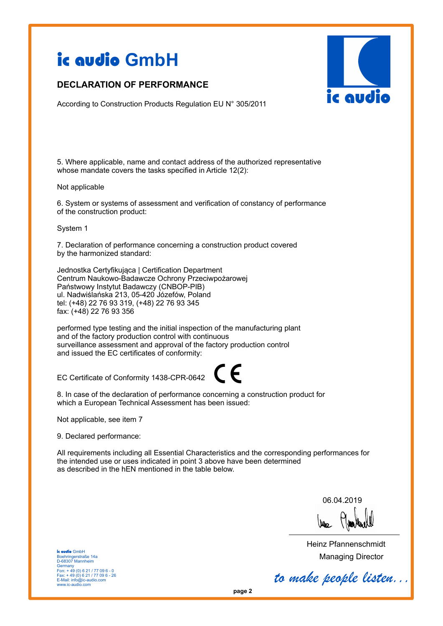# ic audio **GmbH**

## **DECLARATION OF PERFORMANCE**



According to Construction Products Regulation EU N° 305/2011

5. Where applicable, name and contact address of the authorized representative whose mandate covers the tasks specified in Article 12(2):

#### Not applicable

6. System or systems of assessment and verification of constancy of performance of the construction product:

#### System 1

7. Declaration of performance concerning a construction product covered by the harmonized standard:

Jednostka Certyfikująca | Certification Department Centrum Naukowo-Badawcze Ochrony Przeciwpożarowej Państwowy Instytut Badawczy (CNBOP-PIB) ul. Nadwiślańska 213, 05-420 Józefów, Poland tel: (+48) 22 76 93 319, (+48) 22 76 93 345 fax: (+48) 22 76 93 356

performed type testing and the initial inspection of the manufacturing plant and of the factory production control with continuous surveillance assessment and approval of the factory production control and issued the EC certificates of conformity:

EC Certificate of Conformity 1438-CPR-0642

8. In case of the declaration of performance concerning a construction product for which a European Technical Assessment has been issued:

Not applicable, see item 7

9. Declared performance:

All requirements including all Essential Characteristics and the corresponding performances for the intended use or uses indicated in point 3 above have been determined as described in the hEN mentioned in the table below.

 $\epsilon$ 

06.04.2019

Heinz Pfannenschmidt Managing Director

ic audio GmbH Boehringerstraße 14a D-68307 Mannheim Germany Fon: + 49 (0) 6 21 / 77 09 6 - 0 Fax: + 49 (0) 6 21 / 77 09 6 - 26 E-Mail: info@ic-audio.com www.ic-audio.com

*to make people listen...*